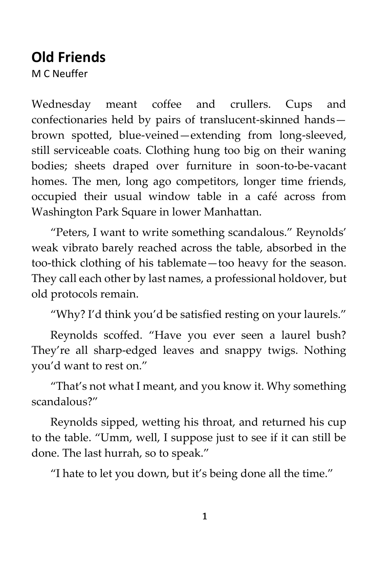# **Old Friends**

M C Neuffer

Wednesday meant coffee and crullers. Cups and confectionaries held by pairs of translucent-skinned hands brown spotted, blue-veined—extending from long-sleeved, still serviceable coats. Clothing hung too big on their waning bodies; sheets draped over furniture in soon-to-be-vacant homes. The men, long ago competitors, longer time friends, occupied their usual window table in a café across from Washington Park Square in lower Manhattan.

"Peters, I want to write something scandalous." Reynolds' weak vibrato barely reached across the table, absorbed in the too-thick clothing of his tablemate—too heavy for the season. They call each other by last names, a professional holdover, but old protocols remain.

"Why? I'd think you'd be satisfied resting on your laurels."

Reynolds scoffed. "Have you ever seen a laurel bush? They're all sharp-edged leaves and snappy twigs. Nothing you'd want to rest on."

"That's not what I meant, and you know it. Why something scandalous?"

Reynolds sipped, wetting his throat, and returned his cup to the table. "Umm, well, I suppose just to see if it can still be done. The last hurrah, so to speak."

"I hate to let you down, but it's being done all the time."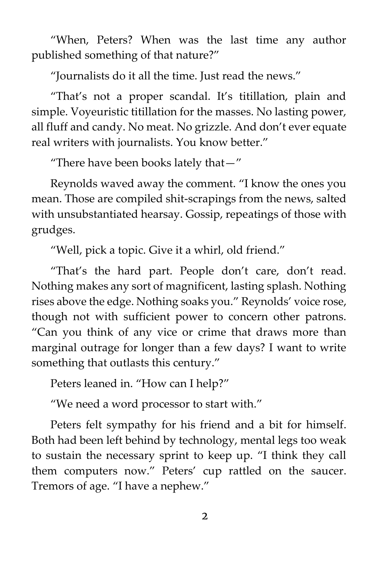"When, Peters? When was the last time any author published something of that nature?"

"Journalists do it all the time. Just read the news."

"That's not a proper scandal. It's titillation, plain and simple. Voyeuristic titillation for the masses. No lasting power, all fluff and candy. No meat. No grizzle. And don't ever equate real writers with journalists. You know better."

"There have been books lately that—"

Reynolds waved away the comment. "I know the ones you mean. Those are compiled shit-scrapings from the news, salted with unsubstantiated hearsay. Gossip, repeatings of those with grudges.

"Well, pick a topic. Give it a whirl, old friend."

"That's the hard part. People don't care, don't read. Nothing makes any sort of magnificent, lasting splash. Nothing rises above the edge. Nothing soaks you." Reynolds' voice rose, though not with sufficient power to concern other patrons. "Can you think of any vice or crime that draws more than marginal outrage for longer than a few days? I want to write something that outlasts this century."

Peters leaned in. "How can I help?"

"We need a word processor to start with."

Peters felt sympathy for his friend and a bit for himself. Both had been left behind by technology, mental legs too weak to sustain the necessary sprint to keep up. "I think they call them computers now." Peters' cup rattled on the saucer. Tremors of age. "I have a nephew."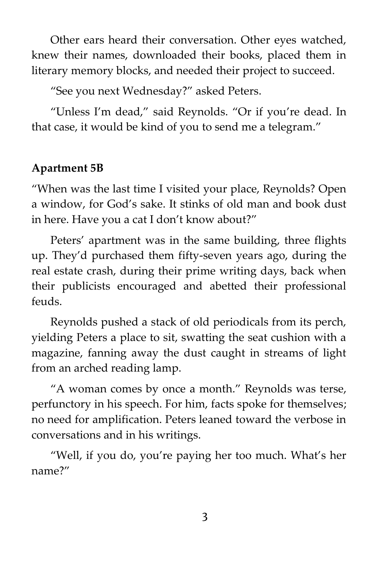Other ears heard their conversation. Other eyes watched, knew their names, downloaded their books, placed them in literary memory blocks, and needed their project to succeed.

"See you next Wednesday?" asked Peters.

"Unless I'm dead," said Reynolds. "Or if you're dead. In that case, it would be kind of you to send me a telegram."

## **Apartment 5B**

"When was the last time I visited your place, Reynolds? Open a window, for God's sake. It stinks of old man and book dust in here. Have you a cat I don't know about?"

Peters' apartment was in the same building, three flights up. They'd purchased them fifty-seven years ago, during the real estate crash, during their prime writing days, back when their publicists encouraged and abetted their professional feuds.

Reynolds pushed a stack of old periodicals from its perch, yielding Peters a place to sit, swatting the seat cushion with a magazine, fanning away the dust caught in streams of light from an arched reading lamp.

"A woman comes by once a month." Reynolds was terse, perfunctory in his speech. For him, facts spoke for themselves; no need for amplification. Peters leaned toward the verbose in conversations and in his writings.

"Well, if you do, you're paying her too much. What's her name?"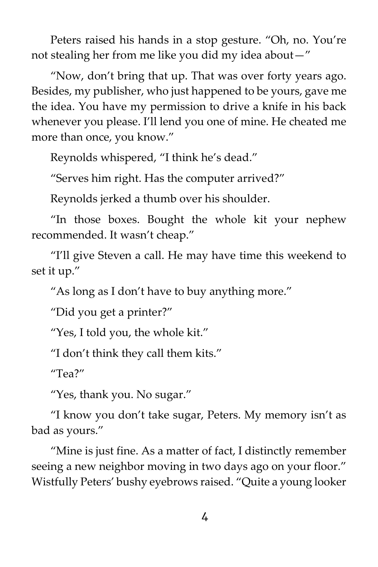Peters raised his hands in a stop gesture. "Oh, no. You're not stealing her from me like you did my idea about—"

"Now, don't bring that up. That was over forty years ago. Besides, my publisher, who just happened to be yours, gave me the idea. You have my permission to drive a knife in his back whenever you please. I'll lend you one of mine. He cheated me more than once, you know."

Reynolds whispered, "I think he's dead."

"Serves him right. Has the computer arrived?"

Reynolds jerked a thumb over his shoulder.

"In those boxes. Bought the whole kit your nephew recommended. It wasn't cheap."

"I'll give Steven a call. He may have time this weekend to set it up."

"As long as I don't have to buy anything more."

"Did you get a printer?"

"Yes, I told you, the whole kit."

"I don't think they call them kits."

 $^{\prime\prime}$ Tea?"

"Yes, thank you. No sugar."

"I know you don't take sugar, Peters. My memory isn't as bad as yours."

"Mine is just fine. As a matter of fact, I distinctly remember seeing a new neighbor moving in two days ago on your floor." Wistfully Peters' bushy eyebrows raised. "Quite a young looker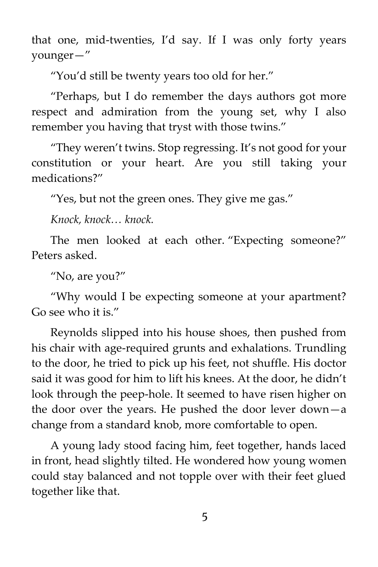that one, mid-twenties, I'd say. If I was only forty years younger—"

"You'd still be twenty years too old for her."

"Perhaps, but I do remember the days authors got more respect and admiration from the young set, why I also remember you having that tryst with those twins."

"They weren't twins. Stop regressing. It's not good for your constitution or your heart. Are you still taking your medications?"

"Yes, but not the green ones. They give me gas."

*Knock, knock… knock.*

The men looked at each other. "Expecting someone?" Peters asked.

"No, are you?"

"Why would I be expecting someone at your apartment? Go see who it is."

Reynolds slipped into his house shoes, then pushed from his chair with age-required grunts and exhalations. Trundling to the door, he tried to pick up his feet, not shuffle. His doctor said it was good for him to lift his knees. At the door, he didn't look through the peep-hole. It seemed to have risen higher on the door over the years. He pushed the door lever down—a change from a standard knob, more comfortable to open.

A young lady stood facing him, feet together, hands laced in front, head slightly tilted. He wondered how young women could stay balanced and not topple over with their feet glued together like that.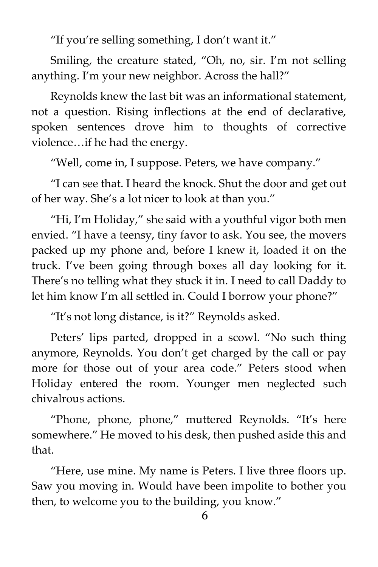"If you're selling something, I don't want it."

Smiling, the creature stated, "Oh, no, sir. I'm not selling anything. I'm your new neighbor. Across the hall?"

Reynolds knew the last bit was an informational statement, not a question. Rising inflections at the end of declarative, spoken sentences drove him to thoughts of corrective violence…if he had the energy.

"Well, come in, I suppose. Peters, we have company."

"I can see that. I heard the knock. Shut the door and get out of her way. She's a lot nicer to look at than you."

"Hi, I'm Holiday," she said with a youthful vigor both men envied. "I have a teensy, tiny favor to ask. You see, the movers packed up my phone and, before I knew it, loaded it on the truck. I've been going through boxes all day looking for it. There's no telling what they stuck it in. I need to call Daddy to let him know I'm all settled in. Could I borrow your phone?"

"It's not long distance, is it?" Reynolds asked.

Peters' lips parted, dropped in a scowl. "No such thing anymore, Reynolds. You don't get charged by the call or pay more for those out of your area code." Peters stood when Holiday entered the room. Younger men neglected such chivalrous actions.

"Phone, phone, phone," muttered Reynolds. "It's here somewhere." He moved to his desk, then pushed aside this and that.

"Here, use mine. My name is Peters. I live three floors up. Saw you moving in. Would have been impolite to bother you then, to welcome you to the building, you know."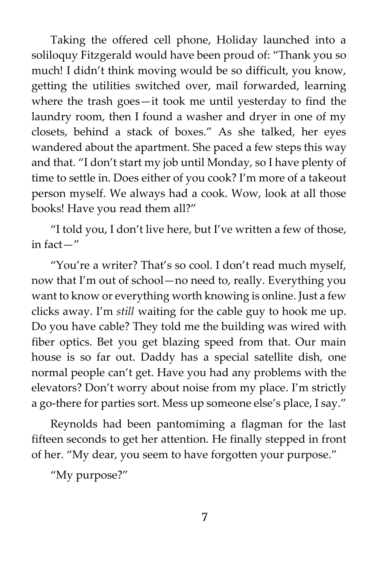Taking the offered cell phone, Holiday launched into a soliloquy Fitzgerald would have been proud of: "Thank you so much! I didn't think moving would be so difficult, you know, getting the utilities switched over, mail forwarded, learning where the trash goes—it took me until yesterday to find the laundry room, then I found a washer and dryer in one of my closets, behind a stack of boxes." As she talked, her eyes wandered about the apartment. She paced a few steps this way and that. "I don't start my job until Monday, so I have plenty of time to settle in. Does either of you cook? I'm more of a takeout person myself. We always had a cook. Wow, look at all those books! Have you read them all?"

"I told you, I don't live here, but I've written a few of those, in fact—"

"You're a writer? That's so cool. I don't read much myself, now that I'm out of school—no need to, really. Everything you want to know or everything worth knowing is online. Just a few clicks away. I'm *still* waiting for the cable guy to hook me up. Do you have cable? They told me the building was wired with fiber optics. Bet you get blazing speed from that. Our main house is so far out. Daddy has a special satellite dish, one normal people can't get. Have you had any problems with the elevators? Don't worry about noise from my place. I'm strictly a go-there for parties sort. Mess up someone else's place, I say."

Reynolds had been pantomiming a flagman for the last fifteen seconds to get her attention. He finally stepped in front of her. "My dear, you seem to have forgotten your purpose."

"My purpose?"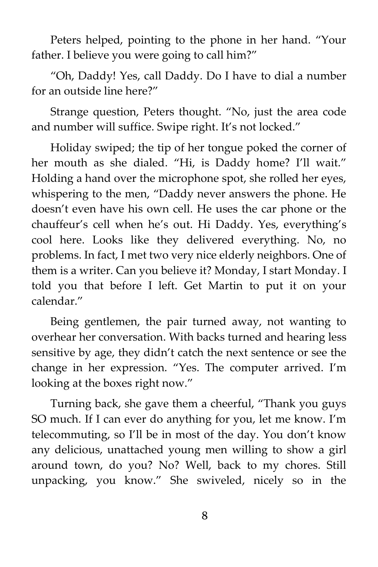Peters helped, pointing to the phone in her hand. "Your father. I believe you were going to call him?"

"Oh, Daddy! Yes, call Daddy. Do I have to dial a number for an outside line here?"

Strange question, Peters thought. "No, just the area code and number will suffice. Swipe right. It's not locked."

Holiday swiped; the tip of her tongue poked the corner of her mouth as she dialed. "Hi, is Daddy home? I'll wait." Holding a hand over the microphone spot, she rolled her eyes, whispering to the men, "Daddy never answers the phone. He doesn't even have his own cell. He uses the car phone or the chauffeur's cell when he's out. Hi Daddy. Yes, everything's cool here. Looks like they delivered everything. No, no problems. In fact, I met two very nice elderly neighbors. One of them is a writer. Can you believe it? Monday, I start Monday. I told you that before I left. Get Martin to put it on your calendar."

Being gentlemen, the pair turned away, not wanting to overhear her conversation. With backs turned and hearing less sensitive by age, they didn't catch the next sentence or see the change in her expression. "Yes. The computer arrived. I'm looking at the boxes right now."

Turning back, she gave them a cheerful, "Thank you guys SO much. If I can ever do anything for you, let me know. I'm telecommuting, so I'll be in most of the day. You don't know any delicious, unattached young men willing to show a girl around town, do you? No? Well, back to my chores. Still unpacking, you know." She swiveled, nicely so in the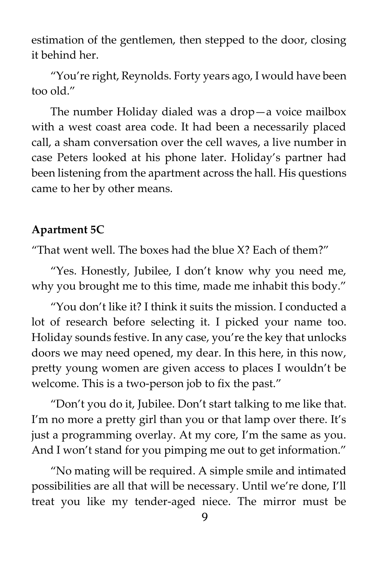estimation of the gentlemen, then stepped to the door, closing it behind her.

"You're right, Reynolds. Forty years ago, I would have been too old."

The number Holiday dialed was a drop—a voice mailbox with a west coast area code. It had been a necessarily placed call, a sham conversation over the cell waves, a live number in case Peters looked at his phone later. Holiday's partner had been listening from the apartment across the hall. His questions came to her by other means.

## **Apartment 5C**

"That went well. The boxes had the blue X? Each of them?"

"Yes. Honestly, Jubilee, I don't know why you need me, why you brought me to this time, made me inhabit this body."

"You don't like it? I think it suits the mission. I conducted a lot of research before selecting it. I picked your name too. Holiday sounds festive. In any case, you're the key that unlocks doors we may need opened, my dear. In this here, in this now, pretty young women are given access to places I wouldn't be welcome. This is a two-person job to fix the past."

"Don't you do it, Jubilee. Don't start talking to me like that. I'm no more a pretty girl than you or that lamp over there. It's just a programming overlay. At my core, I'm the same as you. And I won't stand for you pimping me out to get information."

"No mating will be required. A simple smile and intimated possibilities are all that will be necessary. Until we're done, I'll treat you like my tender-aged niece. The mirror must be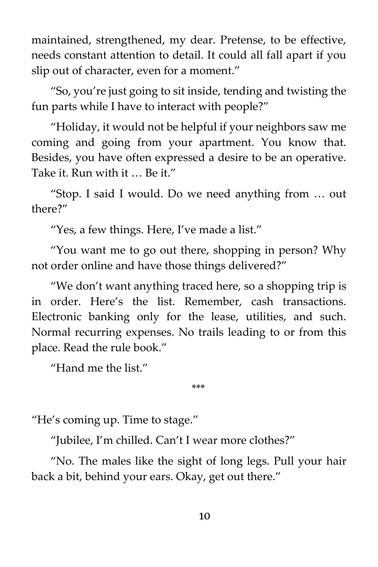maintained, strengthened, my dear. Pretense, to be effective, needs constant attention to detail. It could all fall apart if you slip out of character, even for a moment."

"So, you're just going to sit inside, tending and twisting the fun parts while I have to interact with people?"

"Holiday, it would not be helpful if your neighbors saw me coming and going from your apartment. You know that. Besides, you have often expressed a desire to be an operative. Take it. Run with it … Be it."

"Stop. I said I would. Do we need anything from … out there?"

"Yes, a few things. Here, I've made a list."

"You want me to go out there, shopping in person? Why not order online and have those things delivered?"

"We don't want anything traced here, so a shopping trip is in order. Here's the list. Remember, cash transactions. Electronic banking only for the lease, utilities, and such. Normal recurring expenses. No trails leading to or from this place. Read the rule book."

"Hand me the list."

\*\*\*

"He's coming up. Time to stage."

"Jubilee, I'm chilled. Can't I wear more clothes?"

"No. The males like the sight of long legs. Pull your hair back a bit, behind your ears. Okay, get out there."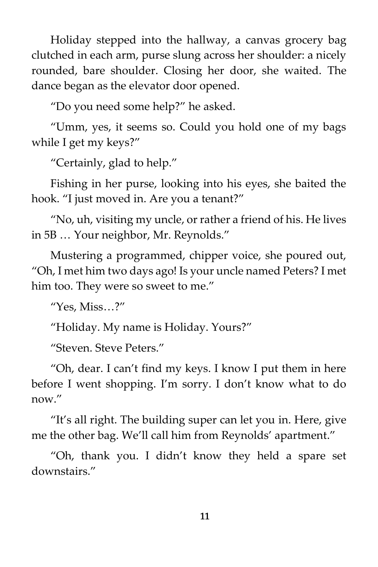Holiday stepped into the hallway, a canvas grocery bag clutched in each arm, purse slung across her shoulder: a nicely rounded, bare shoulder. Closing her door, she waited. The dance began as the elevator door opened.

"Do you need some help?" he asked.

"Umm, yes, it seems so. Could you hold one of my bags while I get my keys?"

"Certainly, glad to help."

Fishing in her purse, looking into his eyes, she baited the hook. "I just moved in. Are you a tenant?"

"No, uh, visiting my uncle, or rather a friend of his. He lives in 5B … Your neighbor, Mr. Reynolds."

Mustering a programmed, chipper voice, she poured out, "Oh, I met him two days ago! Is your uncle named Peters? I met him too. They were so sweet to me."

"Yes, Miss…?"

"Holiday. My name is Holiday. Yours?"

"Steven. Steve Peters."

"Oh, dear. I can't find my keys. I know I put them in here before I went shopping. I'm sorry. I don't know what to do now."

"It's all right. The building super can let you in. Here, give me the other bag. We'll call him from Reynolds' apartment."

"Oh, thank you. I didn't know they held a spare set downstairs."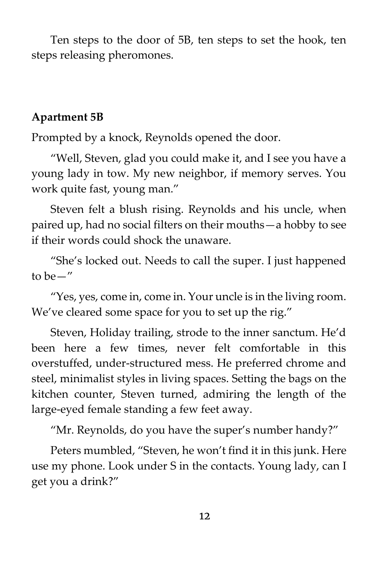Ten steps to the door of 5B, ten steps to set the hook, ten steps releasing pheromones.

#### **Apartment 5B**

Prompted by a knock, Reynolds opened the door.

"Well, Steven, glad you could make it, and I see you have a young lady in tow. My new neighbor, if memory serves. You work quite fast, young man."

Steven felt a blush rising. Reynolds and his uncle, when paired up, had no social filters on their mouths—a hobby to see if their words could shock the unaware.

"She's locked out. Needs to call the super. I just happened to be—"

"Yes, yes, come in, come in. Your uncle is in the living room. We've cleared some space for you to set up the rig."

Steven, Holiday trailing, strode to the inner sanctum. He'd been here a few times, never felt comfortable in this overstuffed, under-structured mess. He preferred chrome and steel, minimalist styles in living spaces. Setting the bags on the kitchen counter, Steven turned, admiring the length of the large-eyed female standing a few feet away.

"Mr. Reynolds, do you have the super's number handy?"

Peters mumbled, "Steven, he won't find it in this junk. Here use my phone. Look under S in the contacts. Young lady, can I get you a drink?"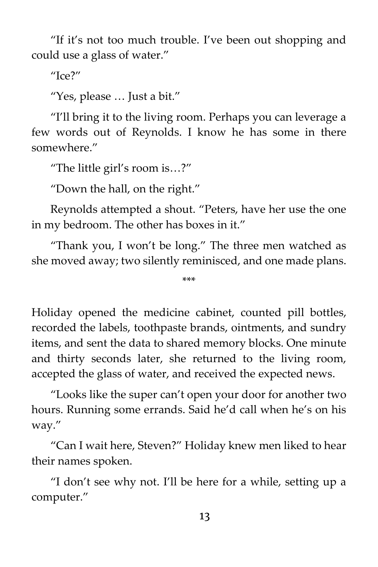"If it's not too much trouble. I've been out shopping and could use a glass of water."

 $^{\prime\prime}$ Ice?"

"Yes, please … Just a bit."

"I'll bring it to the living room. Perhaps you can leverage a few words out of Reynolds. I know he has some in there somewhere."

"The little girl's room is…?"

"Down the hall, on the right."

Reynolds attempted a shout. "Peters, have her use the one in my bedroom. The other has boxes in it."

"Thank you, I won't be long." The three men watched as she moved away; two silently reminisced, and one made plans.

\*\*\*

Holiday opened the medicine cabinet, counted pill bottles, recorded the labels, toothpaste brands, ointments, and sundry items, and sent the data to shared memory blocks. One minute and thirty seconds later, she returned to the living room, accepted the glass of water, and received the expected news.

"Looks like the super can't open your door for another two hours. Running some errands. Said he'd call when he's on his way."

"Can I wait here, Steven?" Holiday knew men liked to hear their names spoken.

"I don't see why not. I'll be here for a while, setting up a computer."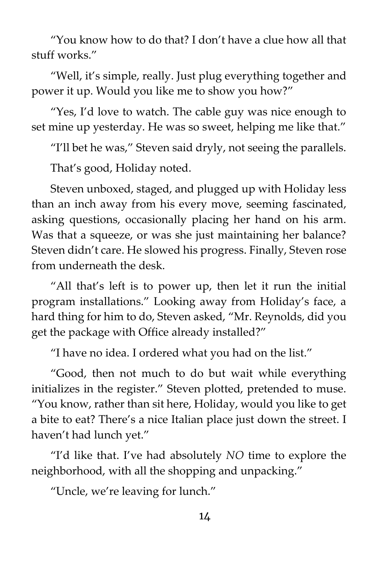"You know how to do that? I don't have a clue how all that stuff works."

"Well, it's simple, really. Just plug everything together and power it up. Would you like me to show you how?"

"Yes, I'd love to watch. The cable guy was nice enough to set mine up yesterday. He was so sweet, helping me like that."

"I'll bet he was," Steven said dryly, not seeing the parallels.

That's good, Holiday noted.

Steven unboxed, staged, and plugged up with Holiday less than an inch away from his every move, seeming fascinated, asking questions, occasionally placing her hand on his arm. Was that a squeeze, or was she just maintaining her balance? Steven didn't care. He slowed his progress. Finally, Steven rose from underneath the desk.

"All that's left is to power up, then let it run the initial program installations." Looking away from Holiday's face, a hard thing for him to do, Steven asked, "Mr. Reynolds, did you get the package with Office already installed?"

"I have no idea. I ordered what you had on the list."

"Good, then not much to do but wait while everything initializes in the register." Steven plotted, pretended to muse. "You know, rather than sit here, Holiday, would you like to get a bite to eat? There's a nice Italian place just down the street. I haven't had lunch yet."

"I'd like that. I've had absolutely *NO* time to explore the neighborhood, with all the shopping and unpacking."

"Uncle, we're leaving for lunch."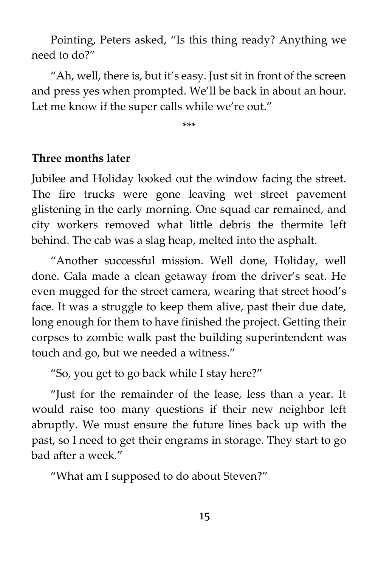Pointing, Peters asked, "Is this thing ready? Anything we need to do?"

"Ah, well, there is, but it's easy. Just sit in front of the screen and press yes when prompted. We'll be back in about an hour. Let me know if the super calls while we're out."

\*\*\*

### **Three months later**

Jubilee and Holiday looked out the window facing the street. The fire trucks were gone leaving wet street pavement glistening in the early morning. One squad car remained, and city workers removed what little debris the thermite left behind. The cab was a slag heap, melted into the asphalt.

"Another successful mission. Well done, Holiday, well done. Gala made a clean getaway from the driver's seat. He even mugged for the street camera, wearing that street hood's face. It was a struggle to keep them alive, past their due date, long enough for them to have finished the project. Getting their corpses to zombie walk past the building superintendent was touch and go, but we needed a witness."

"So, you get to go back while I stay here?"

"Just for the remainder of the lease, less than a year. It would raise too many questions if their new neighbor left abruptly. We must ensure the future lines back up with the past, so I need to get their engrams in storage. They start to go bad after a week."

"What am I supposed to do about Steven?"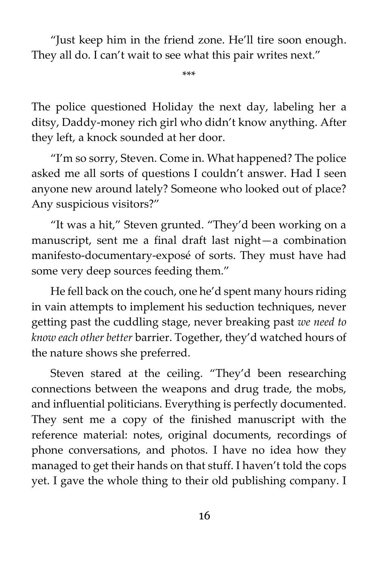"Just keep him in the friend zone. He'll tire soon enough. They all do. I can't wait to see what this pair writes next."

\*\*\*

The police questioned Holiday the next day, labeling her a ditsy, Daddy-money rich girl who didn't know anything. After they left, a knock sounded at her door.

"I'm so sorry, Steven. Come in. What happened? The police asked me all sorts of questions I couldn't answer. Had I seen anyone new around lately? Someone who looked out of place? Any suspicious visitors?"

"It was a hit," Steven grunted. "They'd been working on a manuscript, sent me a final draft last night—a combination manifesto-documentary-exposé of sorts. They must have had some very deep sources feeding them."

He fell back on the couch, one he'd spent many hours riding in vain attempts to implement his seduction techniques, never getting past the cuddling stage, never breaking past *we need to know each other better* barrier. Together, they'd watched hours of the nature shows she preferred.

Steven stared at the ceiling. "They'd been researching connections between the weapons and drug trade, the mobs, and influential politicians. Everything is perfectly documented. They sent me a copy of the finished manuscript with the reference material: notes, original documents, recordings of phone conversations, and photos. I have no idea how they managed to get their hands on that stuff. I haven't told the cops yet. I gave the whole thing to their old publishing company. I